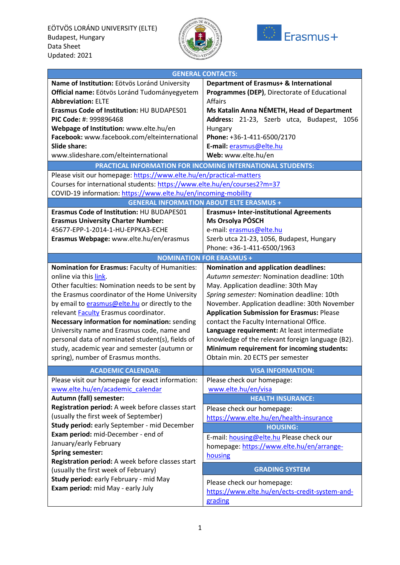



|                                                                          | <b>GENERAL CONTACTS:</b>                          |
|--------------------------------------------------------------------------|---------------------------------------------------|
| Name of Institution: Eötvös Loránd University                            | Department of Erasmus+ & International            |
| Official name: Eötvös Loránd Tudományegyetem                             | Programmes (DEP), Directorate of Educational      |
| <b>Abbreviation: ELTE</b>                                                | <b>Affairs</b>                                    |
| Erasmus Code of Institution: HU BUDAPES01                                | Ms Katalin Anna NÉMETH, Head of Department        |
| PIC Code: #: 999896468                                                   | Address: 21-23, Szerb utca, Budapest,<br>1056     |
| Webpage of Institution: www.elte.hu/en                                   | Hungary                                           |
| Facebook: www.facebook.com/elteinternational                             | Phone: +36-1-411-6500/2170                        |
| <b>Slide share:</b>                                                      | E-mail: erasmus@elte.hu                           |
| www.slideshare.com/elteinternational                                     | Web: www.elte.hu/en                               |
| PRACTICAL INFORMATION FOR INCOMING INTERNATIONAL STUDENTS:               |                                                   |
| Please visit our homepage: https://www.elte.hu/en/practical-matters      |                                                   |
| Courses for international students: https://www.elte.hu/en/courses2?m=37 |                                                   |
| COVID-19 information: https://www.elte.hu/en/incoming-mobility           |                                                   |
|                                                                          | <b>GENERAL INFORMATION ABOUT ELTE ERASMUS +</b>   |
| Erasmus Code of Institution: HU BUDAPES01                                | <b>Erasmus+ Inter-institutional Agreements</b>    |
| <b>Erasmus University Charter Number:</b>                                | Ms Orsolya PÓSCH                                  |
| 45677-EPP-1-2014-1-HU-EPPKA3-ECHE                                        | e-mail: erasmus@elte.hu                           |
| Erasmus Webpage: www.elte.hu/en/erasmus                                  | Szerb utca 21-23, 1056, Budapest, Hungary         |
|                                                                          | Phone: +36-1-411-6500/1963                        |
| <b>NOMINATION FOR ERASMUS +</b>                                          |                                                   |
| Nomination for Erasmus: Faculty of Humanities:                           | <b>Nomination and application deadlines:</b>      |
| online via this link.                                                    | Autumn semester: Nomination deadline: 10th        |
| Other faculties: Nomination needs to be sent by                          | May. Application deadline: 30th May               |
| the Erasmus coordinator of the Home University                           | Spring semester: Nomination deadline: 10th        |
| by email to erasmus@elte.hu or directly to the                           | November. Application deadline: 30th November     |
| relevant Faculty Erasmus coordinator.                                    | <b>Application Submission for Erasmus: Please</b> |
| Necessary information for nomination: sending                            | contact the Faculty International Office.         |
| University name and Erasmus code, name and                               | Language requirement: At least intermediate       |
| personal data of nominated student(s), fields of                         | knowledge of the relevant foreign language (B2).  |
| study, academic year and semester (autumn or                             | Minimum requirement for incoming students:        |
| spring), number of Erasmus months.                                       | Obtain min. 20 ECTS per semester                  |
| <b>ACADEMIC CALENDAR:</b>                                                | <b>VISA INFORMATION:</b>                          |
| Please visit our homepage for exact information:                         | Please check our homepage:                        |
| www.elte.hu/en/academic_calendar                                         | www.elte.hu/en/visa                               |
| Autumn (fall) semester:                                                  | <b>HEALTH INSURANCE:</b>                          |
| Registration period: A week before classes start                         | Please check our homepage:                        |
| (usually the first week of September)                                    | https://www.elte.hu/en/health-insurance           |
| Study period: early September - mid December                             | <b>HOUSING:</b>                                   |
| Exam period: mid-December - end of                                       | E-mail: housing@elte.hu Please check our          |
| January/early February                                                   | homepage: https://www.elte.hu/en/arrange-         |
| <b>Spring semester:</b>                                                  | housing                                           |
| Registration period: A week before classes start                         | <b>GRADING SYSTEM</b>                             |
| (usually the first week of February)                                     |                                                   |
| Study period: early February - mid May                                   | Please check our homepage:                        |
| Exam period: mid May - early July                                        | https://www.elte.hu/en/ects-credit-system-and-    |
|                                                                          | grading                                           |